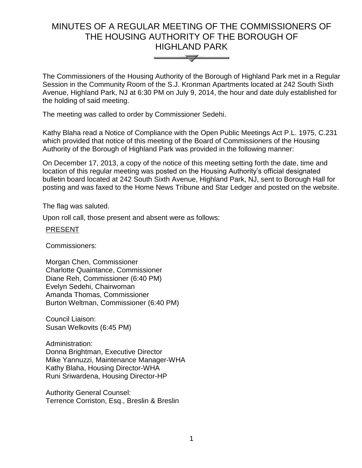# MINUTES OF A REGULAR MEETING OF THE COMMISSIONERS OF THE HOUSING AUTHORITY OF THE BOROUGH OF HIGHLAND PARK



The Commissioners of the Housing Authority of the Borough of Highland Park met in a Regular Session in the Community Room of the S.J. Kronman Apartments located at 242 South Sixth Avenue, Highland Park, NJ at 6:30 PM on July 9, 2014, the hour and date duly established for the holding of said meeting.

The meeting was called to order by Commissioner Sedehi.

Kathy Blaha read a Notice of Compliance with the Open Public Meetings Act P.L. 1975, C.231 which provided that notice of this meeting of the Board of Commissioners of the Housing Authority of the Borough of Highland Park was provided in the following manner:

On December 17, 2013, a copy of the notice of this meeting setting forth the date, time and location of this regular meeting was posted on the Housing Authority's official designated bulletin board located at 242 South Sixth Avenue, Highland Park, NJ, sent to Borough Hall for posting and was faxed to the Home News Tribune and Star Ledger and posted on the website.

The flag was saluted.

Upon roll call, those present and absent were as follows:

# PRESENT

Commissioners:

Morgan Chen, Commissioner Charlotte Quaintance, Commissioner Diane Reh, Commissioner (6:40 PM) Evelyn Sedehi, Chairwoman Amanda Thomas, Commissioner Burton Weltman, Commissioner (6:40 PM)

Council Liaison: Susan Welkovits (6:45 PM)

Administration: Donna Brightman, Executive Director Mike Yannuzzi, Maintenance Manager-WHA Kathy Blaha, Housing Director-WHA Runi Sriwardena, Housing Director-HP

Authority General Counsel: Terrence Corriston, Esq., Breslin & Breslin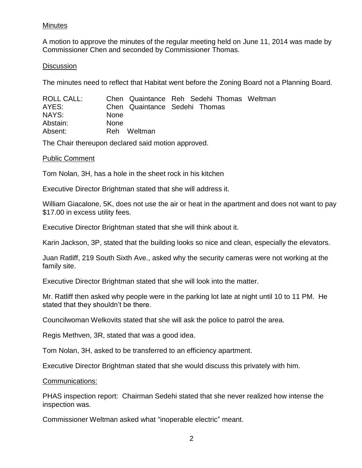# Minutes

A motion to approve the minutes of the regular meeting held on June 11, 2014 was made by Commissioner Chen and seconded by Commissioner Thomas.

## **Discussion**

The minutes need to reflect that Habitat went before the Zoning Board not a Planning Board.

| ROLL CALL: |             | Chen Quaintance Reh Sedehi Thomas Weltman |  |  |
|------------|-------------|-------------------------------------------|--|--|
| AYES:      |             | Chen Quaintance Sedehi Thomas             |  |  |
| NAYS:      | <b>None</b> |                                           |  |  |
| Abstain:   | <b>None</b> |                                           |  |  |
| Absent:    |             | Reh Weltman                               |  |  |

The Chair thereupon declared said motion approved.

## Public Comment

Tom Nolan, 3H, has a hole in the sheet rock in his kitchen

Executive Director Brightman stated that she will address it.

William Giacalone, 5K, does not use the air or heat in the apartment and does not want to pay \$17.00 in excess utility fees.

Executive Director Brightman stated that she will think about it.

Karin Jackson, 3P, stated that the building looks so nice and clean, especially the elevators.

Juan Ratliff, 219 South Sixth Ave., asked why the security cameras were not working at the family site.

Executive Director Brightman stated that she will look into the matter.

Mr. Ratliff then asked why people were in the parking lot late at night until 10 to 11 PM. He stated that they shouldn't be there.

Councilwoman Welkovits stated that she will ask the police to patrol the area.

Regis Methven, 3R, stated that was a good idea.

Tom Nolan, 3H, asked to be transferred to an efficiency apartment.

Executive Director Brightman stated that she would discuss this privately with him.

Communications:

PHAS inspection report: Chairman Sedehi stated that she never realized how intense the inspection was.

Commissioner Weltman asked what "inoperable electric" meant.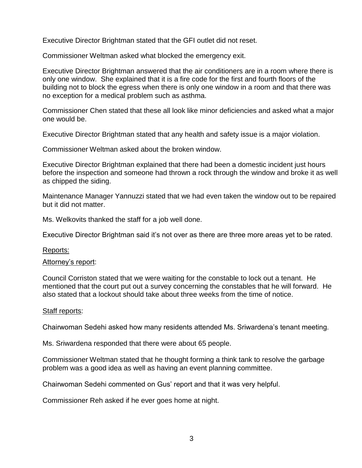Executive Director Brightman stated that the GFI outlet did not reset.

Commissioner Weltman asked what blocked the emergency exit.

Executive Director Brightman answered that the air conditioners are in a room where there is only one window. She explained that it is a fire code for the first and fourth floors of the building not to block the egress when there is only one window in a room and that there was no exception for a medical problem such as asthma.

Commissioner Chen stated that these all look like minor deficiencies and asked what a major one would be.

Executive Director Brightman stated that any health and safety issue is a major violation.

Commissioner Weltman asked about the broken window.

Executive Director Brightman explained that there had been a domestic incident just hours before the inspection and someone had thrown a rock through the window and broke it as well as chipped the siding.

Maintenance Manager Yannuzzi stated that we had even taken the window out to be repaired but it did not matter.

Ms. Welkovits thanked the staff for a job well done.

Executive Director Brightman said it's not over as there are three more areas yet to be rated.

Reports:

#### Attorney's report:

Council Corriston stated that we were waiting for the constable to lock out a tenant. He mentioned that the court put out a survey concerning the constables that he will forward. He also stated that a lockout should take about three weeks from the time of notice.

#### Staff reports:

Chairwoman Sedehi asked how many residents attended Ms. Sriwardena's tenant meeting.

Ms. Sriwardena responded that there were about 65 people.

Commissioner Weltman stated that he thought forming a think tank to resolve the garbage problem was a good idea as well as having an event planning committee.

Chairwoman Sedehi commented on Gus' report and that it was very helpful.

Commissioner Reh asked if he ever goes home at night.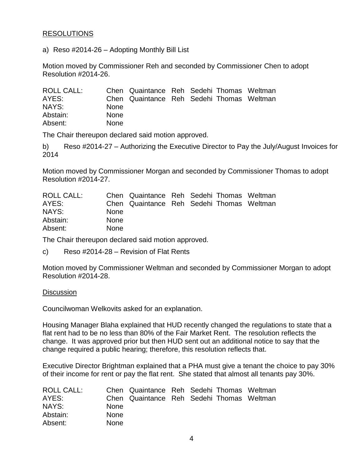# **RESOLUTIONS**

a) Reso #2014-26 – Adopting Monthly Bill List

Motion moved by Commissioner Reh and seconded by Commissioner Chen to adopt Resolution #2014-26.

| ROLL CALL: |             | Chen Quaintance Reh Sedehi Thomas Weltman |  |  |
|------------|-------------|-------------------------------------------|--|--|
| AYES:      |             | Chen Quaintance Reh Sedehi Thomas Weltman |  |  |
| NAYS:      | <b>None</b> |                                           |  |  |
| Abstain:   | <b>None</b> |                                           |  |  |
| Absent:    | <b>None</b> |                                           |  |  |

The Chair thereupon declared said motion approved.

b) Reso #2014-27 – Authorizing the Executive Director to Pay the July/August Invoices for 2014

Motion moved by Commissioner Morgan and seconded by Commissioner Thomas to adopt Resolution #2014-27.

| ROLL CALL: |             | Chen Quaintance Reh Sedehi Thomas Weltman |  |  |
|------------|-------------|-------------------------------------------|--|--|
| AYES:      |             | Chen Quaintance Reh Sedehi Thomas Weltman |  |  |
| NAYS:      | <b>None</b> |                                           |  |  |
| Abstain:   | <b>None</b> |                                           |  |  |
| Absent:    | <b>None</b> |                                           |  |  |

The Chair thereupon declared said motion approved.

c) Reso #2014-28 – Revision of Flat Rents

Motion moved by Commissioner Weltman and seconded by Commissioner Morgan to adopt Resolution #2014-28.

## **Discussion**

Councilwoman Welkovits asked for an explanation.

Housing Manager Blaha explained that HUD recently changed the regulations to state that a flat rent had to be no less than 80% of the Fair Market Rent. The resolution reflects the change. It was approved prior but then HUD sent out an additional notice to say that the change required a public hearing; therefore, this resolution reflects that.

Executive Director Brightman explained that a PHA must give a tenant the choice to pay 30% of their income for rent or pay the flat rent. She stated that almost all tenants pay 30%.

| ROLL CALL: |             | Chen Quaintance Reh Sedehi Thomas Weltman |  |  |
|------------|-------------|-------------------------------------------|--|--|
| AYES:      |             | Chen Quaintance Reh Sedehi Thomas Weltman |  |  |
| NAYS:      | <b>None</b> |                                           |  |  |
| Abstain:   | <b>None</b> |                                           |  |  |
| Absent:    | <b>None</b> |                                           |  |  |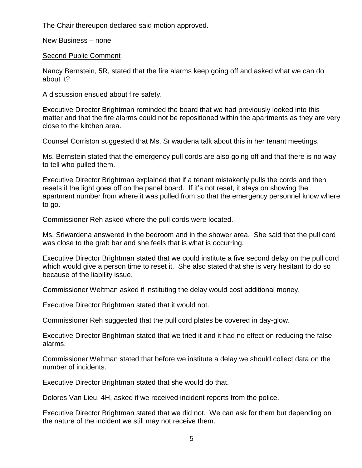The Chair thereupon declared said motion approved.

New Business – none

Second Public Comment

Nancy Bernstein, 5R, stated that the fire alarms keep going off and asked what we can do about it?

A discussion ensued about fire safety.

Executive Director Brightman reminded the board that we had previously looked into this matter and that the fire alarms could not be repositioned within the apartments as they are very close to the kitchen area.

Counsel Corriston suggested that Ms. Sriwardena talk about this in her tenant meetings.

Ms. Bernstein stated that the emergency pull cords are also going off and that there is no way to tell who pulled them.

Executive Director Brightman explained that if a tenant mistakenly pulls the cords and then resets it the light goes off on the panel board. If it's not reset, it stays on showing the apartment number from where it was pulled from so that the emergency personnel know where to go.

Commissioner Reh asked where the pull cords were located.

Ms. Sriwardena answered in the bedroom and in the shower area. She said that the pull cord was close to the grab bar and she feels that is what is occurring.

Executive Director Brightman stated that we could institute a five second delay on the pull cord which would give a person time to reset it. She also stated that she is very hesitant to do so because of the liability issue.

Commissioner Weltman asked if instituting the delay would cost additional money.

Executive Director Brightman stated that it would not.

Commissioner Reh suggested that the pull cord plates be covered in day-glow.

Executive Director Brightman stated that we tried it and it had no effect on reducing the false alarms.

Commissioner Weltman stated that before we institute a delay we should collect data on the number of incidents.

Executive Director Brightman stated that she would do that.

Dolores Van Lieu, 4H, asked if we received incident reports from the police.

Executive Director Brightman stated that we did not. We can ask for them but depending on the nature of the incident we still may not receive them.